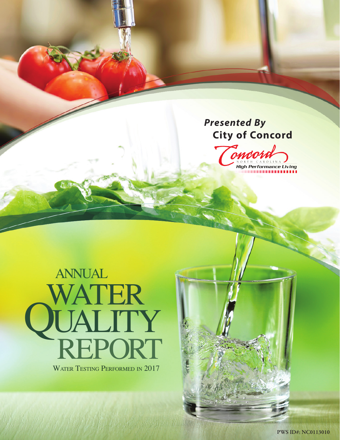## *Presented By*  **City of Concord**

omdor **High Performance Living** 

# WATER TESTING PERFORMED IN 2017 WAT QUALITY<br>REPORT annual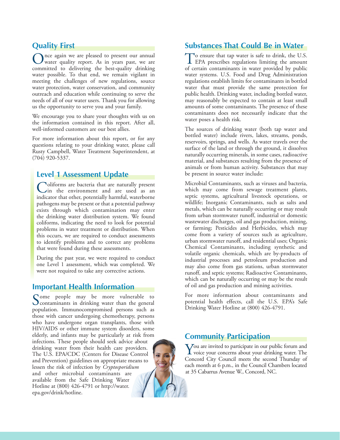## **Quality First**

Once again we are pleased to present our annual water quality report. As in years past, we are committed to delivering the best-quality drinking water possible. To that end, we remain vigilant in meeting the challenges of new regulations, source water protection, water conservation, and community outreach and education while continuing to serve the needs of all of our water users. Thank you for allowing us the opportunity to serve you and your family.

We encourage you to share your thoughts with us on the information contained in this report. After all, well-informed customers are our best allies.

For more information about this report, or for any questions relating to your drinking water, please call Rusty Campbell, Water Treatment Superintendent, at (704) 920-5337.

## **Level 1 Assessment Update**

Coliforms are bacteria that are naturally present<br>
in the environment and are used as an indicator that other, potentially harmful, waterborne pathogens may be present or that a potential pathway exists through which contamination may enter the drinking water distribution system. We found coliforms, indicating the need to look for potential problems in water treatment or distribution. When this occurs, we are required to conduct assessments to identify problems and to correct any problems that were found during these assessments.

During the past year, we were required to conduct one Level 1 assessment, which was completed. We were not required to take any corrective actions.

## **Important Health Information**

Some people may be more vulnerable to  $\bigcup$  contaminants in drinking water than the general population. Immunocompromised persons such as those with cancer undergoing chemotherapy, persons who have undergone organ transplants, those with HIV/AIDS or other immune system disorders, some elderly, and infants may be particularly at risk from infections. These people should seek advice about drinking water from their health care providers. The U.S. EPA/CDC (Centers for Disease Control and Prevention) guidelines on appropriate means to lessen the risk of infection by *Cryptosporidium* and other microbial contaminants are available from the Safe Drinking Water Hotline at (800) 426-4791 or [http://water.](http://water.epa.gov/drink/hotline) [epa.gov/drink/hotline](http://water.epa.gov/drink/hotline).

## **Substances That Could Be in Water**

To ensure that tap water is safe to drink, the U.S.<br>EPA prescribes regulations limiting the amount of certain contaminants in water provided by public water systems. U.S. Food and Drug Administration regulations establish limits for contaminants in bottled water that must provide the same protection for public health. Drinking water, including bottled water, may reasonably be expected to contain at least small amounts of some contaminants. The presence of these contaminants does not necessarily indicate that the water poses a health risk.

The sources of drinking water (both tap water and bottled water) include rivers, lakes, streams, ponds, reservoirs, springs, and wells. As water travels over the surface of the land or through the ground, it dissolves naturally occurring minerals, in some cases, radioactive material, and substances resulting from the presence of animals or from human activity. Substances that may be present in source water include:

Microbial Contaminants, such as viruses and bacteria, which may come from sewage treatment plants, septic systems, agricultural livestock operations, or wildlife; Inorganic Contaminants, such as salts and metals, which can be naturally occurring or may result from urban stormwater runoff, industrial or domestic wastewater discharges, oil and gas production, mining, or farming; Pesticides and Herbicides, which may come from a variety of sources such as agriculture, urban stormwater runoff, and residential uses; Organic Chemical Contaminants, including synthetic and volatile organic chemicals, which are by-products of industrial processes and petroleum production and may also come from gas stations, urban stormwater runoff, and septic systems; Radioactive Contaminants, which can be naturally occurring or may be the result of oil and gas production and mining activities.

For more information about contaminants and potential health effects, call the U.S. EPA's Safe Drinking Water Hotline at (800) 426-4791.

## **Community Participation**

**Y**ou are invited to participate in our public forum and<br>voice your concerns about your drinking water. The<br>Concernd City Council meets the second Thursday of Concord City Council meets the second Thursday of each month at 6 p.m., in the Council Chambers located at 35 Cabarrus Avenue W., Concord, NC.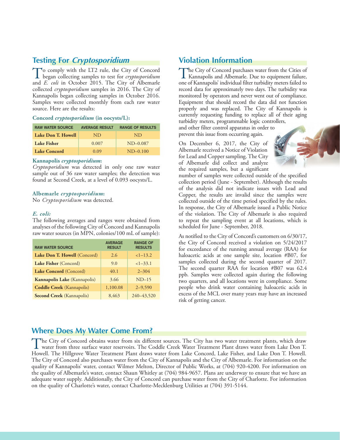## **Testing For Cryptosporidium**

To comply with the LT2 rule, the City of Concord<br>began collecting samples to test for *cryptosporidium* and *E. coli* in October 2015. The City of Albemarle collected *cryptosporidium* samples in 2016. The City of Kannapolis began collecting samples in October 2016. Samples were collected monthly from each raw water source. Here are the results:

#### **Concord** *cryptosporidium* **(in oocysts/L):**

| <b>RAW WATER SOURCE</b> | <b>AVERAGE RESULT</b> | <b>RANGE OF RESULTS</b> |
|-------------------------|-----------------------|-------------------------|
| Lake Don T. Howell      | ND.                   | ND.                     |
| Lake Fisher             | 0.007                 | $ND-0.087$              |
| Lake Concord            | 0.09                  | $ND-0.100$              |

#### **Kannapolis** *cryptosporidium***:**

*Cryptosporidium* was detected in only one raw water sample out of 36 raw water samples; the detection was found at Second Creek, at a level of 0.093 oocysts/L.

#### **Albemarle** *cryptosporidium***:**

No *Cryptosporidium* was detected.

#### *E. coli:*

The following averages and ranges were obtained from analyses of the following City of Concord and Kannapolis raw water sources (in MPN, colonies/100 mL of sample):

| <b>RAW WATER SOURCE</b>          | <b>AVERAGE</b><br><b>RESULT</b> | <b>RANGE OF</b><br><b>RESULTS</b> |
|----------------------------------|---------------------------------|-----------------------------------|
| Lake Don T. Howell (Concord)     | 2.6                             | $<1-13.2$                         |
| Lake Fisher (Concord)            | 9.0                             | $<1-33.1$                         |
| Lake Concord (Concord)           | 40.1                            | $2 - 304$                         |
| Kannapolis Lake (Kannapolis)     | 3.66                            | $ND-15$                           |
| <b>Coddle Creek</b> (Kannapolis) | 1,100.08                        | $2 - 9,590$                       |
| <b>Second Creek</b> (Kannapolis) | 8.463                           | 240-43,520                        |

## **Violation Information**

The City of Concord purchases water from the Cities of Kannapolis and Albemarle. Due to equipment failure, one of Kannapolis' individual filter turbidity meters failed to record data for approximately two days. The turbidity was monitored by operators and never went out of compliance. Equipment that should record the data did not function properly and was replaced. The City of Kannapolis is currently requesting funding to replace all of their aging turbidity meters, programmable logic controllers,

and other filter control apparatus in order to prevent this issue from occurring again.

On December 6, 2017, the City of Albemarle received a Notice of Violation for Lead and Copper sampling. The City of Albemarle did collect and analyze the required samples, but a significant



number of samples were collected outside of the specified collection period (June - September). Although the results of the analysis did not indicate issues with Lead and Copper, the results are invalid since the samples were collected outside of the time period specified by the rules. In response, the City of Albemarle issued a Public Notice of the violation. The City of Albemarle is also required to repeat the sampling event at all locations, which is scheduled for June - September, 2018.

As notified to the City of Concord's customers on 6/30/17, the City of Concord received a violation on 5/24/2017 for exceedance of the running annual average (RAA) for haloacetic acids at one sample site, location #B07, for samples collected during the second quarter of 2017. The second quarter RAA for location #B07 was 62.4 ppb. Samples were collected again during the following two quarters, and all locations were in compliance. Some people who drink water containing haloacetic acids in excess of the MCL over many years may have an increased risk of getting cancer.

## **Where Does My Water Come From?**

The City of Concord obtains water from six different sources. The City has two water treatment plants, which draw<br>water from three surface water reservoirs. The Coddle Creek Water Treatment Plant draws water from Lake Don Howell. The Hillgrove Water Treatment Plant draws water from Lake Concord, Lake Fisher, and Lake Don T. Howell. The City of Concord also purchases water from the City of Kannapolis and the City of Albemarle. For information on the quality of Kannapolis' water, contact Wilmer Melton, Director of Public Works, at (704) 920-4200. For information on the quality of Albemarle's water, contact Shaun Whitley at (704) 984-9657. Plans are underway to ensure that we have an adequate water supply. Additionally, the City of Concord can purchase water from the City of Charlotte. For information on the quality of Charlotte's water, contact Charlotte-Mecklenburg Utilities at (704) 391-5144.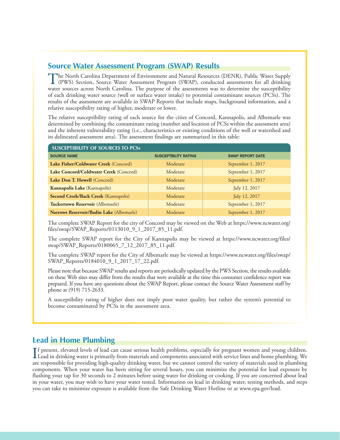## **Source Water Assessment Program (SWAP) Results**

The North Carolina Department of Environment and Natural Resources (DENR), Public Water Supply (PWS) Section, Source Water Assessment Program (SWAP), conducted assessments for all drinking (PWS) Section, Name Carolina Theo water sources across North Carolina. The purpose of the assessments was to determine the susceptibility of each drinking water source (well or surface water intake) to potential contaminant sources (PCSs). The results of the assessment are available in SWAP Reports that include maps, background information, and a relative susceptibility rating of higher, moderate or lower.

The relative susceptibility rating of each source for the cities of Concord, Kannapolis, and Albemarle was determined by combining the contaminant rating (number and location of PCSs within the assessment area) and the inherent vulnerability rating (i.e., characteristics or existing conditions of the well or watershed and its delineated assessment area). The assessment findings are summarized in this table:

| <b>SUSCEPTIBILITY OF SOURCES TO PCSS</b> |                             |                         |
|------------------------------------------|-----------------------------|-------------------------|
| <b>SOURCE NAME</b>                       | <b>SUSCEPTBILITY RATING</b> | <b>SWAP REPORT DATE</b> |
| Lake Fisher/Coldwater Creek (Concord)    | Moderate                    | September 1, 2017       |
| Lake Concord/Coldwater Creek (Concord)   | Moderate                    | September 1, 2017       |
| Lake Don T. Howell (Concord)             | Moderate                    | September 1, 2017       |
| Kannapolis Lake (Kannapolis)             | Moderate                    | July 12, 2017           |
| Second Creek/Back Creek (Kannapolis)     | Moderate                    | July 12, 2017           |
| Tuckertown Reservoir (Albemarle)         | Moderate                    | September 1, 2017       |
| Narrows Reservoir/Badin Lake (Albemarle) | Moderate                    | September 1, 2017       |

The complete SWAP Report for the city of Concord may be viewed on the Web at [https://www.ncwater.org/](https://www.ncwater.org/files/swap/SWAP_Reports/0113010_9_1_2017_85_11.pdf) [files/swap/SWAP\\_Reports/0113010\\_9\\_1\\_2017\\_85\\_11.pdf.](https://www.ncwater.org/files/swap/SWAP_Reports/0113010_9_1_2017_85_11.pdf)

The complete SWAP report for the City of Kannapolis may be viewed at [https://www.ncwater.org/files/](https://www.ncwater.org/files/swap/SWAP_Reports/0180065_7_12_2017_85_11.pdf) [swap/SWAP\\_Reports/0180065\\_7\\_12\\_2017\\_85\\_11.pdf](https://www.ncwater.org/files/swap/SWAP_Reports/0180065_7_12_2017_85_11.pdf).

The complete SWAP report for the City of Albemarle may be viewed at [https://www.ncwater.org/files/swap/](https://www.ncwater.org/files/swap/SWAP_Reports/0184010_9_1_2017_17_22.pdf) [SWAP\\_Reports/0184010\\_9\\_1\\_2017\\_17\\_22.pdf.](https://www.ncwater.org/files/swap/SWAP_Reports/0184010_9_1_2017_17_22.pdf)

Please note that because SWAP results and reports are periodically updated by the PWS Section, the results available on these Web sites may differ from the results that were available at the time this consumer confidence report was prepared. If you have any questions about the SWAP Report, please contact the Source Water Assessment staff by phone at (919) 715-2633.

A susceptibility rating of higher does not imply poor water quality, but rather the system's potential to become contaminated by PCSs in the assessment area.

## **Lead in Home Plumbing**

If present, elevated levels of lead can cause serious health problems, especially for pregnant women and young children.<br>Lead in drinking water is primarily from materials and components associated with service lines and h f present, elevated levels of lead can cause serious health problems, especially for pregnant women and young children. are responsible for providing high-quality drinking water, but we cannot control the variety of materials used in plumbing components. When your water has been sitting for several hours, you can minimize the potential for lead exposure by flushing your tap for 30 seconds to 2 minutes before using water for drinking or cooking. If you are concerned about lead in your water, you may wish to have your water tested. Information on lead in drinking water, testing methods, and steps you can take to minimize exposure is available from the Safe Drinking Water Hotline or at [www.epa.gov/lead](http://www.epa.gov/lead).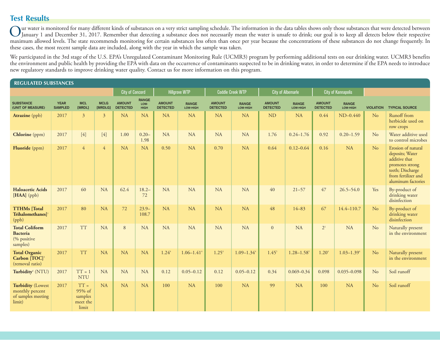## **Test Results**

Our water is monitored for many different kinds of substances on a very strict sampling schedule. The information in the data tables shows only those substances that were detected between<br>January 1 and December 31, 2017. R maximum allowed levels. The state recommends monitoring for certain substances less often than once per year because the concentrations of these substances do not change frequently. In these cases, the most recent sample data are included, along with the year in which the sample was taken.

We participated in the 3rd stage of the U.S. EPA's Unregulated Contaminant Monitoring Rule (UCMR3) program by performing additional tests on our drinking water. UCMR3 benefits the environment and public health by providing the EPA with data on the occurrence of contaminants suspected to be in drinking water, in order to determine if the EPA needs to introduce new regulatory standards to improve drinking water quality. Contact us for more information on this program.

| <b>REGULATED SUBSTANCES</b>                                                 |                               |                                                  |                        |                                  |                                     |                                  |                            |                                  |                            |                                  |                            |                                  |                          |                  |                                                                                                                                            |
|-----------------------------------------------------------------------------|-------------------------------|--------------------------------------------------|------------------------|----------------------------------|-------------------------------------|----------------------------------|----------------------------|----------------------------------|----------------------------|----------------------------------|----------------------------|----------------------------------|--------------------------|------------------|--------------------------------------------------------------------------------------------------------------------------------------------|
|                                                                             |                               |                                                  |                        | <b>City of Concord</b>           |                                     |                                  | <b>Hillgrove WTP</b>       |                                  | <b>Coddle Creek WTP</b>    | <b>City of Albemarle</b>         |                            | <b>City of Kannapolis</b>        |                          |                  |                                                                                                                                            |
| <b>SUBSTANCE</b><br>(UNIT OF MEASURE)                                       | <b>YEAR</b><br><b>SAMPLED</b> | <b>MCL</b><br>[MRDL]                             | <b>MCLG</b><br>[MRDLG] | <b>AMOUNT</b><br><b>DETECTED</b> | <b>RANGE</b><br>LOW-<br><b>HIGH</b> | <b>AMOUNT</b><br><b>DETECTED</b> | <b>RANGE</b><br>LOW-HIGH   | <b>AMOUNT</b><br><b>DETECTED</b> | <b>RANGE</b><br>LOW-HIGH   | <b>AMOUNT</b><br><b>DETECTED</b> | <b>RANGE</b><br>LOW-HIGH   | <b>AMOUNT</b><br><b>DETECTED</b> | <b>RANGE</b><br>LOW-HIGH | <b>VIOLATION</b> | <b>TYPICAL SOURCE</b>                                                                                                                      |
| Atrazine (ppb)                                                              | 2017                          | $\overline{3}$                                   | $\overline{3}$         | <b>NA</b>                        | <b>NA</b>                           | <b>NA</b>                        | <b>NA</b>                  | <b>NA</b>                        | <b>NA</b>                  | <b>ND</b>                        | <b>NA</b>                  | 0.44                             | $ND-0.440$               | No               | Runoff from<br>herbicide used on<br>row crops                                                                                              |
| Chlorine (ppm)                                                              | 2017                          | $[4]$                                            | $[4]$                  | 1.00                             | $0.20 -$<br>1.98                    | <b>NA</b>                        | <b>NA</b>                  | <b>NA</b>                        | <b>NA</b>                  | 1.76                             | $0.24 - 1.76$              | 0.92                             | $0.20 - 1.59$            | No               | Water additive used<br>to control microbes                                                                                                 |
| Fluoride (ppm)                                                              | 2017                          | $\overline{4}$                                   | $\overline{4}$         | <b>NA</b>                        | <b>NA</b>                           | 0.50                             | <b>NA</b>                  | 0.70                             | <b>NA</b>                  | 0.64                             | $0.12 - 0.64$              | 0.16                             | NA                       | N <sub>o</sub>   | Erosion of natural<br>deposits; Water<br>additive that<br>promotes strong<br>teeth; Discharge<br>from fertilizer and<br>aluminum factories |
| <b>Haloacetic Acids</b><br>[HAA] (ppb)                                      | 2017                          | 60                                               | <b>NA</b>              | 62.4                             | $18.2 -$<br>72                      | <b>NA</b>                        | <b>NA</b>                  | <b>NA</b>                        | <b>NA</b>                  | 40                               | $21 - 57$                  | 47                               | $26.5 - 54.0$            | Yes              | By-product of<br>drinking water<br>disinfection                                                                                            |
| <b>TTHMs</b> [Total<br>Trihalomethanes] <sup>1</sup><br>(ppb)               | 2017                          | 80                                               | <b>NA</b>              | 72                               | $23.9-$<br>108.7                    | <b>NA</b>                        | <b>NA</b>                  | <b>NA</b>                        | <b>NA</b>                  | 48                               | $14 - 83$                  | 67                               | $14.4 - 110.7$           | No               | By-product of<br>drinking water<br>disinfection                                                                                            |
| <b>Total Coliform</b><br><b>Bacteria</b><br>(% positive)<br>samples)        | 2017                          | <b>TT</b>                                        | <b>NA</b>              | $8\,$                            | <b>NA</b>                           | NA                               | <b>NA</b>                  | <b>NA</b>                        | <b>NA</b>                  | $\boldsymbol{0}$                 | NA                         | 2 <sup>2</sup>                   | NA                       | N <sub>o</sub>   | Naturally present<br>in the environment                                                                                                    |
| <b>Total Organic</b><br>Carbon [TOC] <sup>3</sup><br>(removal ratio)        | 2017                          | <b>TT</b>                                        | <b>NA</b>              | <b>NA</b>                        | <b>NA</b>                           | $1.24^{4}$                       | $1.06 - 1.41$ <sup>4</sup> | 1.25 <sup>4</sup>                | $1.09 - 1.34$ <sup>4</sup> | $1.45^{\circ}$                   | $1.28 - 1.58$ <sup>5</sup> | $1.20^{4}$                       | $1.03 - 1.394$           | N <sub>o</sub>   | Naturally present<br>in the environment                                                                                                    |
| Turbidity <sup>6</sup> (NTU)                                                | 2017                          | $TT = 1$<br><b>NTU</b>                           | <b>NA</b>              | <b>NA</b>                        | <b>NA</b>                           | 0.12                             | $0.05 - 0.12$              | 0.12                             | $0.05 - 0.12$              | 0.34                             | $0.069 - 0.34$             | 0.098                            | $0.035 - 0.098$          | No               | Soil runoff                                                                                                                                |
| <b>Turbidity</b> (Lowest<br>monthly percent<br>of samples meeting<br>limit) | 2017                          | $TT =$<br>95% of<br>samples<br>meet the<br>limit | NA                     | <b>NA</b>                        | <b>NA</b>                           | 100                              | <b>NA</b>                  | 100                              | <b>NA</b>                  | 99                               | <b>NA</b>                  | 100                              | <b>NA</b>                | No               | Soil runoff                                                                                                                                |